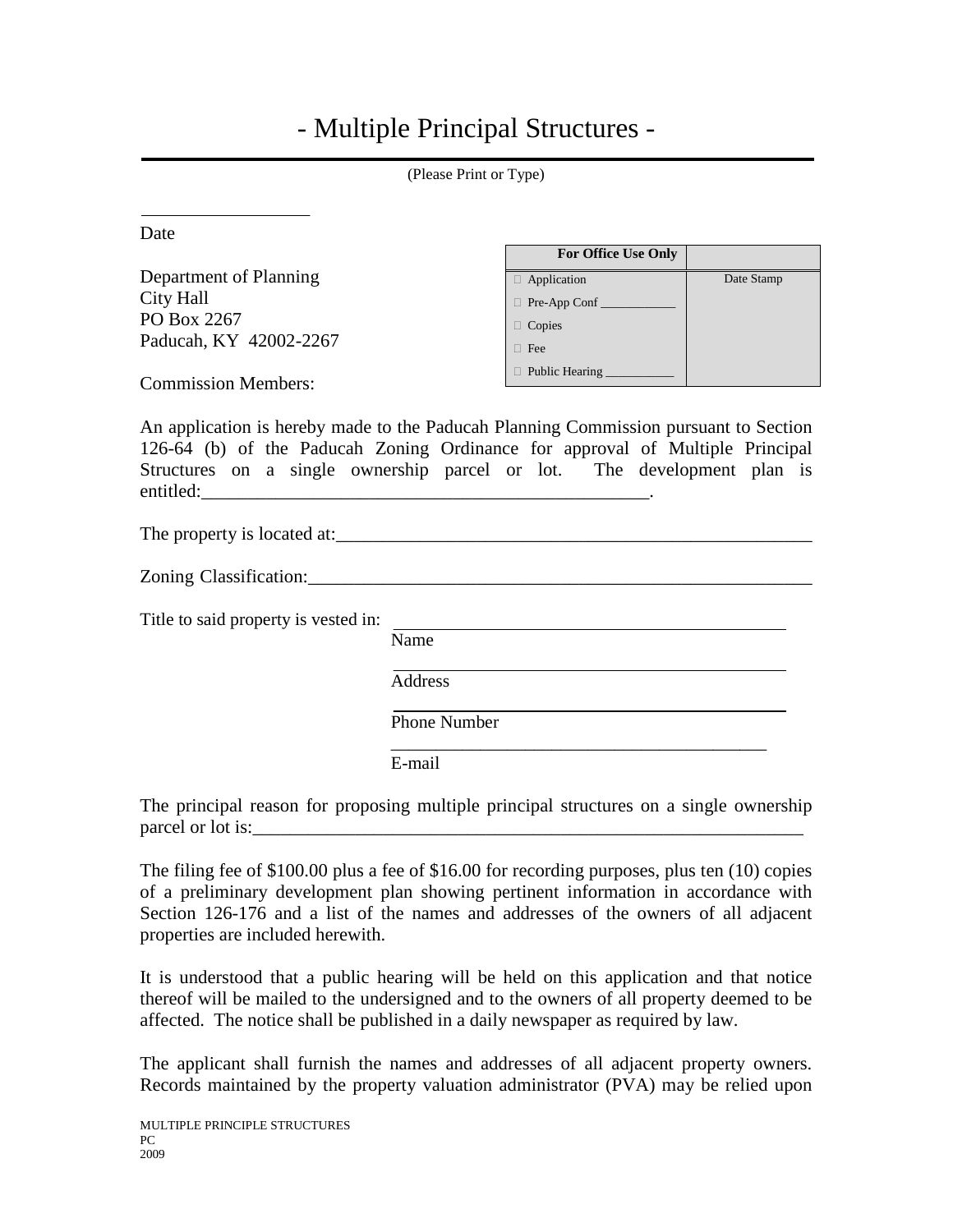## - Multiple Principal Structures -

| (Please Print or Type)                                                                                                                                                                                                                                        |                                                       |            |  |  |  |
|---------------------------------------------------------------------------------------------------------------------------------------------------------------------------------------------------------------------------------------------------------------|-------------------------------------------------------|------------|--|--|--|
| Date                                                                                                                                                                                                                                                          | For Office Use Only                                   |            |  |  |  |
| Department of Planning<br>City Hall<br>PO Box 2267<br>Paducah, KY 42002-2267<br><b>Commission Members:</b>                                                                                                                                                    | Application<br>Pre-App Conf<br>□ Copies<br>$\Box$ Fee | Date Stamp |  |  |  |
| An application is hereby made to the Paducah Planning Commission pursuant to Section<br>126-64 (b) of the Paducah Zoning Ordinance for approval of Multiple Principal<br>Structures on a single ownership parcel or lot. The development plan is<br>entitled: |                                                       |            |  |  |  |
| Title to said property is vested in:                                                                                                                                                                                                                          |                                                       |            |  |  |  |
| Name<br><b>Address</b><br>E-mail                                                                                                                                                                                                                              | <b>Phone Number</b>                                   |            |  |  |  |

The principal reason for proposing multiple principal structures on a single ownership parcel or lot is:

The filing fee of \$100.00 plus a fee of \$16.00 for recording purposes, plus ten (10) copies of a preliminary development plan showing pertinent information in accordance with Section 126-176 and a list of the names and addresses of the owners of all adjacent properties are included herewith.

It is understood that a public hearing will be held on this application and that notice thereof will be mailed to the undersigned and to the owners of all property deemed to be affected. The notice shall be published in a daily newspaper as required by law.

The applicant shall furnish the names and addresses of all adjacent property owners. Records maintained by the property valuation administrator (PVA) may be relied upon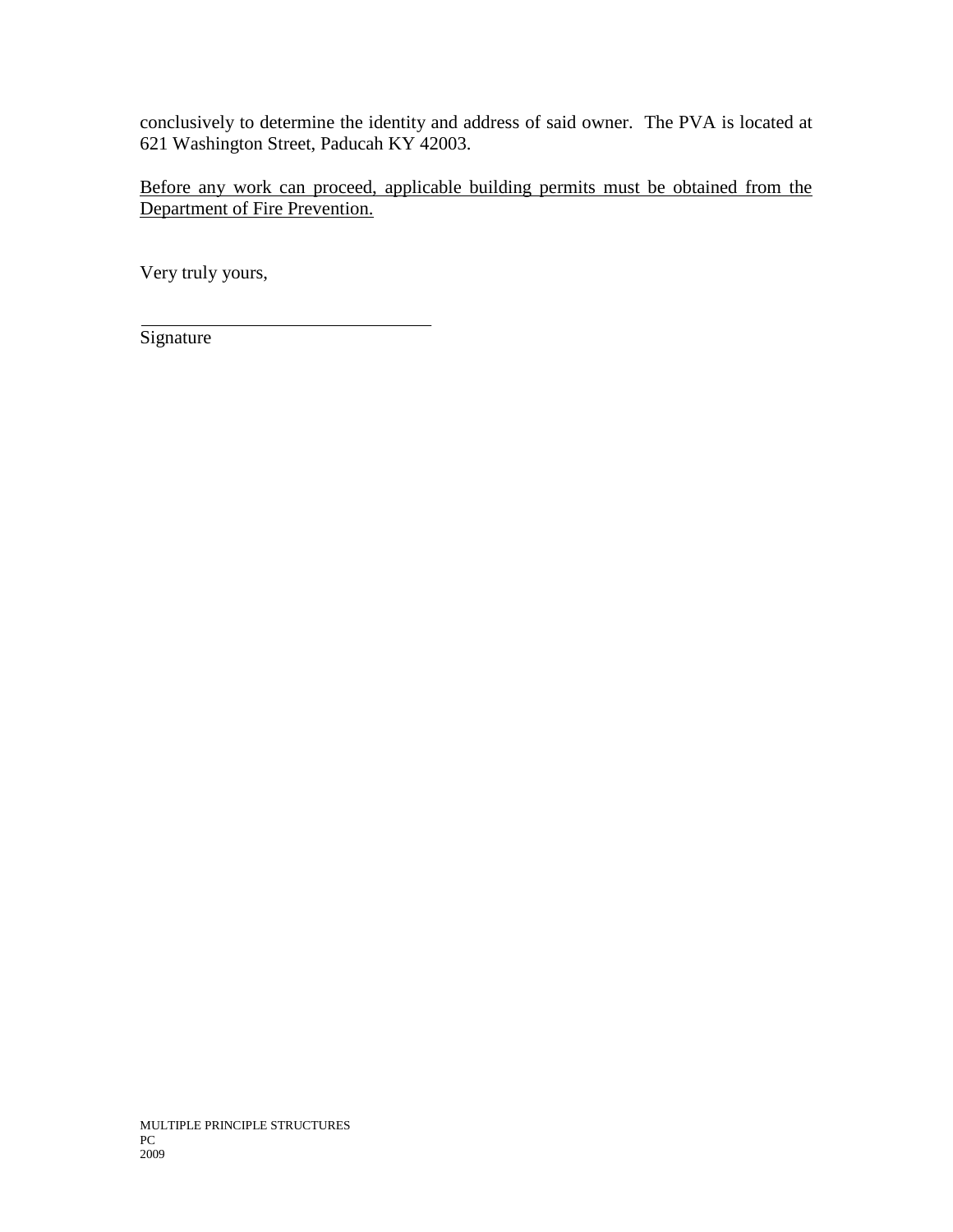conclusively to determine the identity and address of said owner. The PVA is located at 621 Washington Street, Paducah KY 42003.

Before any work can proceed, applicable building permits must be obtained from the Department of Fire Prevention.

Very truly yours,

**Signature**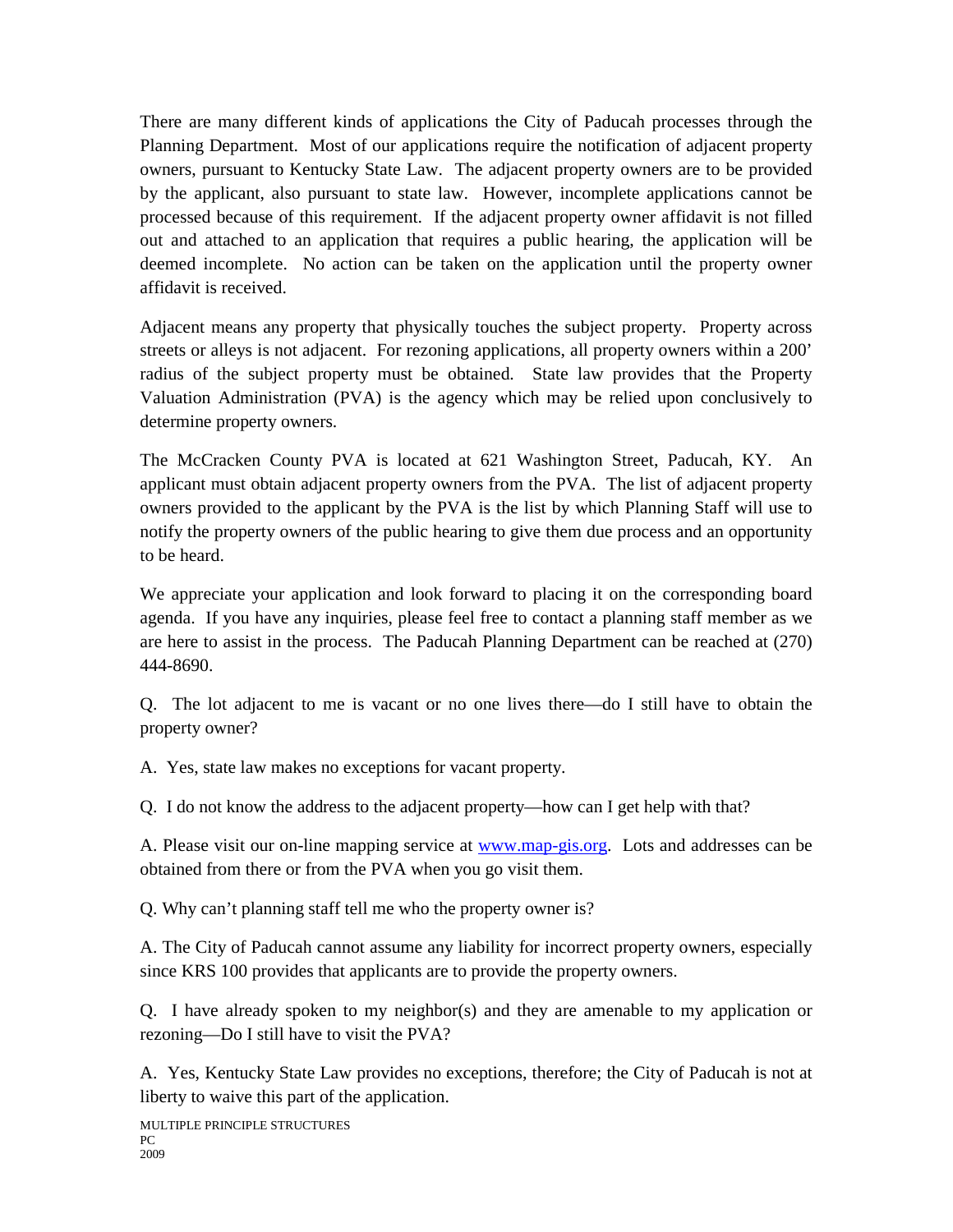There are many different kinds of applications the City of Paducah processes through the Planning Department. Most of our applications require the notification of adjacent property owners, pursuant to Kentucky State Law. The adjacent property owners are to be provided by the applicant, also pursuant to state law. However, incomplete applications cannot be processed because of this requirement. If the adjacent property owner affidavit is not filled out and attached to an application that requires a public hearing, the application will be deemed incomplete. No action can be taken on the application until the property owner affidavit is received.

Adjacent means any property that physically touches the subject property. Property across streets or alleys is not adjacent. For rezoning applications, all property owners within a 200' radius of the subject property must be obtained. State law provides that the Property Valuation Administration (PVA) is the agency which may be relied upon conclusively to determine property owners.

The McCracken County PVA is located at 621 Washington Street, Paducah, KY. An applicant must obtain adjacent property owners from the PVA. The list of adjacent property owners provided to the applicant by the PVA is the list by which Planning Staff will use to notify the property owners of the public hearing to give them due process and an opportunity to be heard.

We appreciate your application and look forward to placing it on the corresponding board agenda. If you have any inquiries, please feel free to contact a planning staff member as we are here to assist in the process. The Paducah Planning Department can be reached at (270) 444-8690.

Q. The lot adjacent to me is vacant or no one lives there—do I still have to obtain the property owner?

A. Yes, state law makes no exceptions for vacant property.

Q. I do not know the address to the adjacent property—how can I get help with that?

A. Please visit our on-line mapping service at [www.map-gis.org.](http://www.map-gis.org/) Lots and addresses can be obtained from there or from the PVA when you go visit them.

Q. Why can't planning staff tell me who the property owner is?

A. The City of Paducah cannot assume any liability for incorrect property owners, especially since KRS 100 provides that applicants are to provide the property owners.

Q. I have already spoken to my neighbor(s) and they are amenable to my application or rezoning—Do I still have to visit the PVA?

A. Yes, Kentucky State Law provides no exceptions, therefore; the City of Paducah is not at liberty to waive this part of the application.